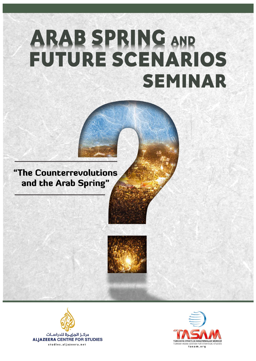# ARAB SPRING AND<br>FUTURE SCENARIOS **SEMINAR**

# "The Counterrevolutions and the Arab Spring"